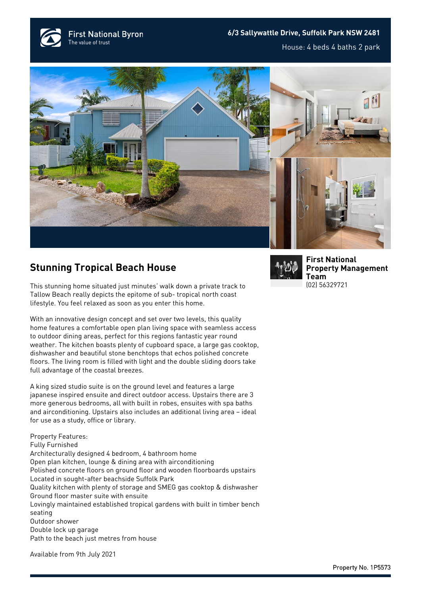**First National Byron** The value of trust

## **6/3 Sallywattle Drive, Suffolk Park NSW 2481**

House: 4 beds 4 baths 2 park



## **Stunning Tropical Beach House**

This stunning home situated just minutes' walk down a private track to Tallow Beach really depicts the epitome of sub- tropical north coast lifestyle. You feel relaxed as soon as you enter this home.

With an innovative design concept and set over two levels, this quality home features a comfortable open plan living space with seamless access to outdoor dining areas, perfect for this regions fantastic year round weather. The kitchen boasts plenty of cupboard space, a large gas cooktop, dishwasher and beautiful stone benchtops that echos polished concrete floors. The living room is filled with light and the double sliding doors take full advantage of the coastal breezes.

A king sized studio suite is on the ground level and features a large japanese inspired ensuite and direct outdoor access. Upstairs there are 3 more generous bedrooms, all with built in robes, ensuites with spa baths and airconditioning. Upstairs also includes an additional living area – ideal for use as a study, office or library.

Property Features: Fully Furnished Architecturally designed 4 bedroom, 4 bathroom home Open plan kitchen, lounge & dining area with airconditioning Polished concrete floors on ground floor and wooden floorboards upstairs Located in sought-after beachside Suffolk Park Quality kitchen with plenty of storage and SMEG gas cooktop & dishwasher Ground floor master suite with ensuite Lovingly maintained established tropical gardens with built in timber bench seating Outdoor shower Double lock up garage Path to the beach just metres from house

Available from 9th July 2021



**[First National](https://www.byronbayfn.com.au/agents/first-national-property-management-team/) [Property Management](https://www.byronbayfn.com.au/agents/first-national-property-management-team/) [Team](https://www.byronbayfn.com.au/agents/first-national-property-management-team/)** [\(02\) 56329721](#page--1-0)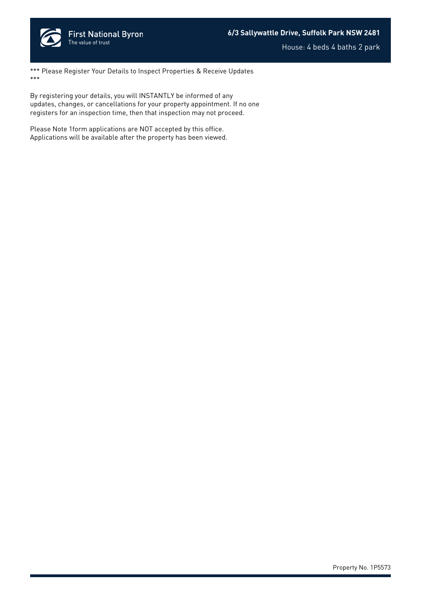

House: 4 beds 4 baths 2 park

\*\*\* Please Register Your Details to Inspect Properties & Receive Updates \*\*\*

By registering your details, you will INSTANTLY be informed of any updates, changes, or cancellations for your property appointment. If no one registers for an inspection time, then that inspection may not proceed.

Please Note 1form applications are NOT accepted by this office. Applications will be available after the property has been viewed.